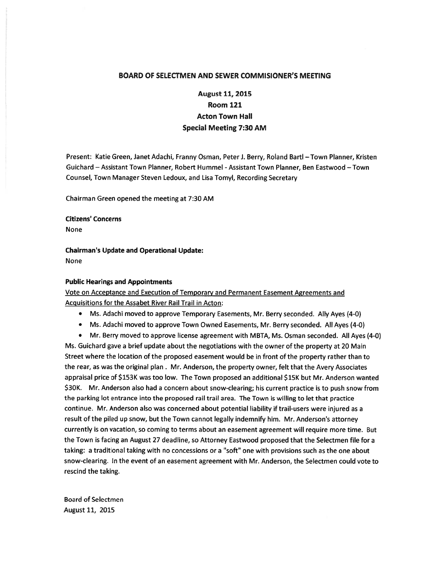## BOARD OF SELECTMEN AND SEWER COMMISIONER'S MEETING

## August 11, 2015 Room 121 Acton Town Hall Special Meeting 7:30 AM

Present: Katie Green, Janet Adachi, Franny Osman, Peter J. Berry, Roland Bartl - Town Planner, Kristen Guichard — Assistant Town Planner, Robert Hummel -Assistant Town Planner, Ben Eastwood — Town Counsel, Town Manager Steven Ledoux, and Lisa Tomyl, Recording Secretary

Chairman Green opened the meeting at 7:30 AM

Citizens' Concerns None

Chairman's Update and Operational Update: None

## Public Hearings and Appointments

Vote on Acceptance and Execution of Temporary and Permanent Easement Agreements and Acquisitions for the Assabet River Rail Trail in Acton:

- Ms. Adachi moved to approve Temporary Easements, Mr. Berry seconded. Ally Ayes (4-0)
- Ms. Adachi moved to approve Town Owned Easements, Mr. Berry seconded. All Ayes (4-0)
- Mr. Berry moved to approve license agreemen<sup>t</sup> with MBTA, Ms. Osman seconded. All Ayes (4-0)

Ms. Guichard gave <sup>a</sup> brief update about the negotiations with the owner of the property at 20 Main Street where the location of the proposed easement would be in front of the property rather than to the rear, as was the original plan . Mr. Anderson, the property owner, felt that the Avery Associates appraisal price of \$153K was too low. The Town proposed an additional \$15K but Mr. Anderson wanted \$30K. Mr. Anderson also had <sup>a</sup> concern about snow-clearing; his current practice is to push snow from the parking lot entrance into the proposed rail trail area. The Town is willing to let that practice continue. Mr. Anderson also was concerned about potential liability if trail-users were injured as <sup>a</sup> result of the piled up snow, but the Town cannot legally indemnify him. Mr. Anderson's attorney currently is on vacation, so coming to terms about an easement agreemen<sup>t</sup> will require more time. But the Town is facing an August 27 deadline, so Attorney Eastwood proposed that the Selectmen file for <sup>a</sup> taking: <sup>a</sup> traditional taking with no concessions or <sup>a</sup> "soft" one with provisions such as the one about snow-clearing. In the event of an easement agreemen<sup>t</sup> with Mr. Anderson, the Selectmen could vote to rescind the taking.

Board of Selectmen August 11, 2015